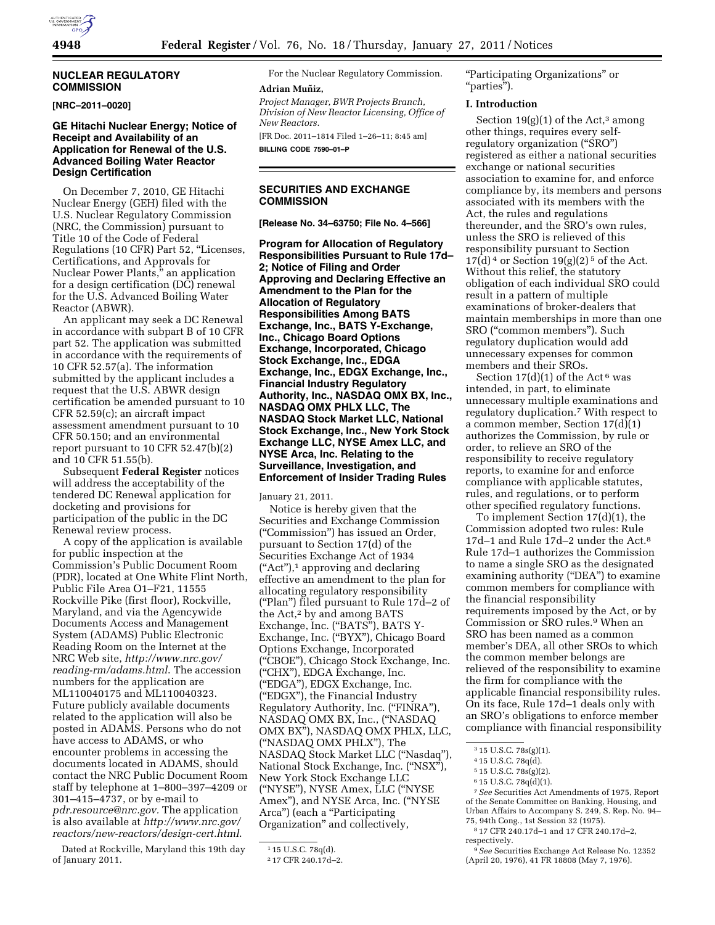# **NUCLEAR REGULATORY COMMISSION**

#### **[NRC–2011–0020]**

# **GE Hitachi Nuclear Energy; Notice of Receipt and Availability of an Application for Renewal of the U.S. Advanced Boiling Water Reactor Design Certification**

On December 7, 2010, GE Hitachi Nuclear Energy (GEH) filed with the U.S. Nuclear Regulatory Commission (NRC, the Commission) pursuant to Title 10 of the Code of Federal Regulations (10 CFR) Part 52, ''Licenses, Certifications, and Approvals for Nuclear Power Plants,'' an application for a design certification (DC) renewal for the U.S. Advanced Boiling Water Reactor (ABWR).

An applicant may seek a DC Renewal in accordance with subpart B of 10 CFR part 52. The application was submitted in accordance with the requirements of 10 CFR 52.57(a). The information submitted by the applicant includes a request that the U.S. ABWR design certification be amended pursuant to 10 CFR 52.59(c); an aircraft impact assessment amendment pursuant to 10 CFR 50.150; and an environmental report pursuant to 10 CFR 52.47(b)(2) and 10 CFR 51.55(b).

Subsequent **Federal Register** notices will address the acceptability of the tendered DC Renewal application for docketing and provisions for participation of the public in the DC Renewal review process.

A copy of the application is available for public inspection at the Commission's Public Document Room (PDR), located at One White Flint North, Public File Area O1–F21, 11555 Rockville Pike (first floor), Rockville, Maryland, and via the Agencywide Documents Access and Management System (ADAMS) Public Electronic Reading Room on the Internet at the NRC Web site, *[http://www.nrc.gov/](http://www.nrc.gov/reading-rm/adams.html) [reading-rm/adams.html](http://www.nrc.gov/reading-rm/adams.html)*. The accession numbers for the application are ML110040175 and ML110040323. Future publicly available documents related to the application will also be posted in ADAMS. Persons who do not have access to ADAMS, or who encounter problems in accessing the documents located in ADAMS, should contact the NRC Public Document Room staff by telephone at 1–800–397–4209 or 301–415–4737, or by e-mail to *[pdr.resource@nrc.gov.](mailto:pdr.resource@nrc.gov)* The application is also available at *[http://www.nrc.gov/](http://www.nrc.gov/reactors/new-reactors/design-cert.html) [reactors/new-reactors/design-cert.html](http://www.nrc.gov/reactors/new-reactors/design-cert.html)*.

Dated at Rockville, Maryland this 19th day of January 2011.

For the Nuclear Regulatory Commission. **Adrian Muñiz,** 

*Project Manager, BWR Projects Branch, Division of New Reactor Licensing, Office of New Reactors.* 

[FR Doc. 2011–1814 Filed 1–26–11; 8:45 am] **BILLING CODE 7590–01–P** 

# **SECURITIES AND EXCHANGE COMMISSION**

**[Release No. 34–63750; File No. 4–566]** 

**Program for Allocation of Regulatory Responsibilities Pursuant to Rule 17d– 2; Notice of Filing and Order Approving and Declaring Effective an Amendment to the Plan for the Allocation of Regulatory Responsibilities Among BATS Exchange, Inc., BATS Y-Exchange, Inc., Chicago Board Options Exchange, Incorporated, Chicago Stock Exchange, Inc., EDGA Exchange, Inc., EDGX Exchange, Inc., Financial Industry Regulatory Authority, Inc., NASDAQ OMX BX, Inc., NASDAQ OMX PHLX LLC, The NASDAQ Stock Market LLC, National Stock Exchange, Inc., New York Stock Exchange LLC, NYSE Amex LLC, and NYSE Arca, Inc. Relating to the Surveillance, Investigation, and Enforcement of Insider Trading Rules** 

January 21, 2011.

Notice is hereby given that the Securities and Exchange Commission (''Commission'') has issued an Order, pursuant to Section 17(d) of the Securities Exchange Act of 1934 (''Act''),1 approving and declaring effective an amendment to the plan for allocating regulatory responsibility (''Plan'') filed pursuant to Rule 17d–2 of the Act,<sup>2</sup> by and among BATS Exchange, Inc. ("BATS"), BATS Y-Exchange, Inc. (''BYX''), Chicago Board Options Exchange, Incorporated (''CBOE''), Chicago Stock Exchange, Inc. (''CHX''), EDGA Exchange, Inc. (''EDGA''), EDGX Exchange, Inc. (''EDGX''), the Financial Industry Regulatory Authority, Inc. ("FINRA"), NASDAQ OMX BX, Inc., (''NASDAQ OMX BX''), NASDAQ OMX PHLX, LLC, (''NASDAQ OMX PHLX''), The NASDAQ Stock Market LLC (''Nasdaq''), National Stock Exchange, Inc. (''NSX''), New York Stock Exchange LLC (''NYSE''), NYSE Amex, LLC (''NYSE Amex''), and NYSE Arca, Inc. (''NYSE Arca") (each a "Participating Organization'' and collectively,

''Participating Organizations'' or ''parties'').

## **I. Introduction**

Section 19 $(g)(1)$  of the Act,<sup>3</sup> among other things, requires every selfregulatory organization ("SRO") registered as either a national securities exchange or national securities association to examine for, and enforce compliance by, its members and persons associated with its members with the Act, the rules and regulations thereunder, and the SRO's own rules, unless the SRO is relieved of this responsibility pursuant to Section  $17(d)<sup>4</sup>$  or Section  $19(g)(2)<sup>5</sup>$  of the Act. Without this relief, the statutory obligation of each individual SRO could result in a pattern of multiple examinations of broker-dealers that maintain memberships in more than one SRO (''common members''). Such regulatory duplication would add unnecessary expenses for common members and their SROs.

Section  $17(d)(1)$  of the Act<sup>6</sup> was intended, in part, to eliminate unnecessary multiple examinations and regulatory duplication.7 With respect to a common member, Section 17(d)(1) authorizes the Commission, by rule or order, to relieve an SRO of the responsibility to receive regulatory reports, to examine for and enforce compliance with applicable statutes, rules, and regulations, or to perform other specified regulatory functions.

To implement Section 17(d)(1), the Commission adopted two rules: Rule 17d–1 and Rule 17d–2 under the Act.8 Rule 17d–1 authorizes the Commission to name a single SRO as the designated examining authority ("DEA") to examine common members for compliance with the financial responsibility requirements imposed by the Act, or by Commission or SRO rules.9 When an SRO has been named as a common member's DEA, all other SROs to which the common member belongs are relieved of the responsibility to examine the firm for compliance with the applicable financial responsibility rules. On its face, Rule 17d–1 deals only with an SRO's obligations to enforce member compliance with financial responsibility

7*See* Securities Act Amendments of 1975, Report of the Senate Committee on Banking, Housing, and Urban Affairs to Accompany S. 249, S. Rep. No. 94– 75, 94th Cong., 1st Session 32 (1975).

8 17 CFR 240.17d–1 and 17 CFR 240.17d–2, respectively.

<sup>1</sup> 15 U.S.C. 78q(d).

<sup>2</sup> 17 CFR 240.17d–2.

 $3\overline{15}$  U.S.C. 78s(g)(1).

<sup>4</sup> 15 U.S.C. 78q(d).

<sup>5</sup> 15 U.S.C. 78s(g)(2).

<sup>6</sup> 15 U.S.C. 78q(d)(1).

<sup>9</sup>*See* Securities Exchange Act Release No. 12352 (April 20, 1976), 41 FR 18808 (May 7, 1976).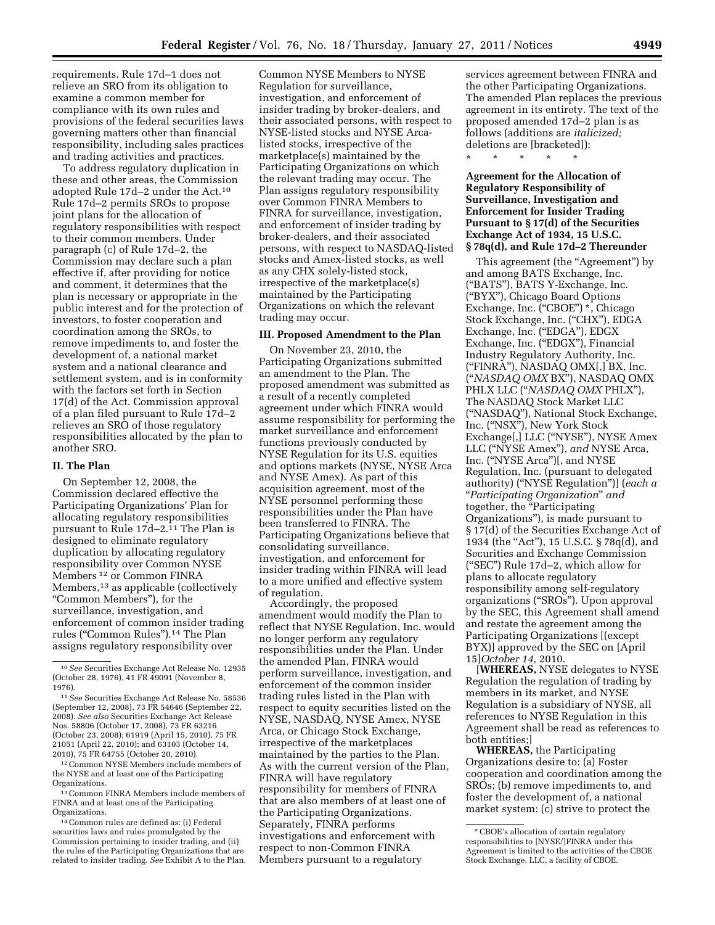requirements. Rule 17d–1 does not relieve an SRO from its obligation to examine a common member for compliance with its own rules and provisions of the federal securities laws governing matters other than financial responsibility, including sales practices and trading activities and practices.

To address regulatory duplication in these and other areas, the Commission adopted Rule 17d–2 under the Act.10 Rule 17d–2 permits SROs to propose joint plans for the allocation of regulatory responsibilities with respect to their common members. Under paragraph (c) of Rule 17d–2, the Commission may declare such a plan effective if, after providing for notice and comment, it determines that the plan is necessary or appropriate in the public interest and for the protection of investors, to foster cooperation and coordination among the SROs, to remove impediments to, and foster the development of, a national market system and a national clearance and settlement system, and is in conformity with the factors set forth in Section 17(d) of the Act. Commission approval of a plan filed pursuant to Rule 17d–2 relieves an SRO of those regulatory responsibilities allocated by the plan to another SRO.

# **II. The Plan**

On September 12, 2008, the Commission declared effective the Participating Organizations' Plan for allocating regulatory responsibilities pursuant to Rule 17d–2.11 The Plan is designed to eliminate regulatory duplication by allocating regulatory responsibility over Common NYSE Members 12 or Common FINRA Members,13 as applicable (collectively ''Common Members''), for the surveillance, investigation, and enforcement of common insider trading rules (''Common Rules'').14 The Plan assigns regulatory responsibility over

12Common NYSE Members include members of the NYSE and at least one of the Participating Organizations.

13Common FINRA Members include members of FINRA and at least one of the Participating Organizations.

14Common rules are defined as: (i) Federal securities laws and rules promulgated by the Commission pertaining to insider trading, and (ii) the rules of the Participating Organizations that are related to insider trading. *See* Exhibit A to the Plan.

Common NYSE Members to NYSE Regulation for surveillance, investigation, and enforcement of insider trading by broker-dealers, and their associated persons, with respect to NYSE-listed stocks and NYSE Arcalisted stocks, irrespective of the marketplace(s) maintained by the Participating Organizations on which the relevant trading may occur. The Plan assigns regulatory responsibility over Common FINRA Members to FINRA for surveillance, investigation, and enforcement of insider trading by broker-dealers, and their associated persons, with respect to NASDAQ-listed stocks and Amex-listed stocks, as well as any CHX solely-listed stock, irrespective of the marketplace(s) maintained by the Participating Organizations on which the relevant trading may occur.

#### **III. Proposed Amendment to the Plan**

On November 23, 2010, the Participating Organizations submitted an amendment to the Plan. The proposed amendment was submitted as a result of a recently completed agreement under which FINRA would assume responsibility for performing the market surveillance and enforcement functions previously conducted by NYSE Regulation for its U.S. equities and options markets (NYSE, NYSE Arca and NYSE Amex). As part of this acquisition agreement, most of the NYSE personnel performing these responsibilities under the Plan have been transferred to FINRA. The Participating Organizations believe that consolidating surveillance, investigation, and enforcement for insider trading within FINRA will lead to a more unified and effective system of regulation.

Accordingly, the proposed amendment would modify the Plan to reflect that NYSE Regulation, Inc. would no longer perform any regulatory responsibilities under the Plan. Under the amended Plan, FINRA would perform surveillance, investigation, and enforcement of the common insider trading rules listed in the Plan with respect to equity securities listed on the NYSE, NASDAQ, NYSE Amex, NYSE Arca, or Chicago Stock Exchange, irrespective of the marketplaces maintained by the parties to the Plan. As with the current version of the Plan, FINRA will have regulatory responsibility for members of FINRA that are also members of at least one of the Participating Organizations. Separately, FINRA performs investigations and enforcement with respect to non-Common FINRA Members pursuant to a regulatory

services agreement between FINRA and the other Participating Organizations. The amended Plan replaces the previous agreement in its entirety. The text of the proposed amended 17d–2 plan is as follows (additions are *italicized;*  deletions are [bracketed]):

\* \* \* \* \*

# **Agreement for the Allocation of Regulatory Responsibility of Surveillance, Investigation and Enforcement for Insider Trading Pursuant to § 17(d) of the Securities Exchange Act of 1934, 15 U.S.C. § 78q(d), and Rule 17d–2 Thereunder**

This agreement (the "Agreement") by and among BATS Exchange, Inc. (''BATS''), BATS Y-Exchange, Inc. (''BYX''), Chicago Board Options Exchange, Inc. ("CBOE") \*, Chicago Stock Exchange, Inc. ("CHX"), EDGA Exchange, Inc. ("EDGA"), EDGX Exchange, Inc. ("EDGX"), Financial Industry Regulatory Authority, Inc. (''FINRA''), NASDAQ OMX[,] BX, Inc. (''*NASDAQ OMX* BX''), NASDAQ OMX PHLX LLC (''*NASDAQ OMX* PHLX''), The NASDAQ Stock Market LLC (''NASDAQ''), National Stock Exchange, Inc. (''NSX''), New York Stock Exchange[,] LLC (''NYSE''), NYSE Amex LLC (''NYSE Amex''), *and* NYSE Arca, Inc. (''NYSE Arca'')[, and NYSE Regulation, Inc. (pursuant to delegated authority) (''NYSE Regulation'')] (*each a*  ''*Participating Organization*'' *and*  together, the ''Participating Organizations''), is made pursuant to § 17(d) of the Securities Exchange Act of 1934 (the "Act"), 15 U.S.C. § 78q(d), and Securities and Exchange Commission (''SEC'') Rule 17d–2, which allow for plans to allocate regulatory responsibility among self-regulatory organizations (''SROs''). Upon approval by the SEC, this Agreement shall amend and restate the agreement among the Participating Organizations [(except BYX)] approved by the SEC on [April 15]*October 14,* 2010.

[**WHEREAS,** NYSE delegates to NYSE Regulation the regulation of trading by members in its market, and NYSE Regulation is a subsidiary of NYSE, all references to NYSE Regulation in this Agreement shall be read as references to both entities;]

**WHEREAS,** the Participating Organizations desire to: (a) Foster cooperation and coordination among the SROs; (b) remove impediments to, and foster the development of, a national market system; (c) strive to protect the

<sup>10</sup>*See* Securities Exchange Act Release No. 12935 (October 28, 1976), 41 FR 49091 (November 8, 1976).

<sup>11</sup>*See* Securities Exchange Act Release No. 58536 (September 12, 2008), 73 FR 54646 (September 22, 2008). *See also* Securities Exchange Act Release Nos. 58806 (October 17, 2008), 73 FR 63216 (October 23, 2008); 61919 (April 15, 2010), 75 FR 21051 (April 22, 2010); and 63103 (October 14, 2010), 75 FR 64755 (October 20, 2010).

<sup>\*</sup> CBOE's allocation of certain regulatory responsibilities to [NYSE/]FINRA under this Agreement is limited to the activities of the CBOE Stock Exchange, LLC, a facility of CBOE.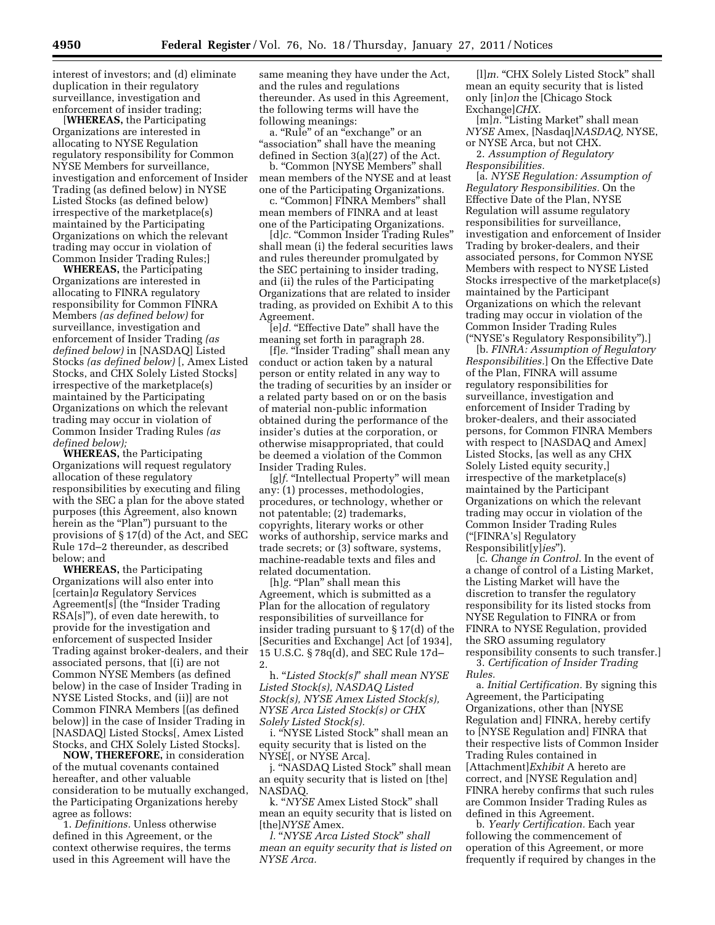interest of investors; and (d) eliminate duplication in their regulatory surveillance, investigation and enforcement of insider trading;

[**WHEREAS,** the Participating Organizations are interested in allocating to NYSE Regulation regulatory responsibility for Common NYSE Members for surveillance, investigation and enforcement of Insider Trading (as defined below) in NYSE Listed Stocks (as defined below) irrespective of the marketplace(s) maintained by the Participating Organizations on which the relevant trading may occur in violation of Common Insider Trading Rules;]

**WHEREAS,** the Participating Organizations are interested in allocating to FINRA regulatory responsibility for Common FINRA Members *(as defined below)* for surveillance, investigation and enforcement of Insider Trading *(as defined below)* in [NASDAQ] Listed Stocks *(as defined below)* [, Amex Listed Stocks, and CHX Solely Listed Stocks] irrespective of the marketplace(s) maintained by the Participating Organizations on which the relevant trading may occur in violation of Common Insider Trading Rules *(as defined below);* 

**WHEREAS,** the Participating Organizations will request regulatory allocation of these regulatory responsibilities by executing and filing with the SEC a plan for the above stated purposes (this Agreement, also known herein as the "Plan") pursuant to the provisions of § 17(d) of the Act, and SEC Rule 17d–2 thereunder, as described below; and

**WHEREAS,** the Participating Organizations will also enter into [certain]*a* Regulatory Services Agreement[s] (the ''Insider Trading RSA[s]''), of even date herewith, to provide for the investigation and enforcement of suspected Insider Trading against broker-dealers, and their associated persons, that [(i) are not Common NYSE Members (as defined below) in the case of Insider Trading in NYSE Listed Stocks, and (ii)] are not Common FINRA Members [(as defined below)] in the case of Insider Trading in [NASDAQ] Listed Stocks[, Amex Listed Stocks, and CHX Solely Listed Stocks].

**NOW, THEREFORE,** in consideration of the mutual covenants contained hereafter, and other valuable consideration to be mutually exchanged, the Participating Organizations hereby agree as follows:

1. *Definitions.* Unless otherwise defined in this Agreement, or the context otherwise requires, the terms used in this Agreement will have the

same meaning they have under the Act, and the rules and regulations thereunder. As used in this Agreement, the following terms will have the following meanings:

a. "Rule" of an "exchange" or an "association" shall have the meaning defined in Section 3(a)(27) of the Act.

b. "Common [NYSE Members" shall mean members of the NYSE and at least one of the Participating Organizations.

c. ''Common] FINRA Members'' shall mean members of FINRA and at least one of the Participating Organizations.

[d]c. "Common Insider Trading Rules" shall mean (i) the federal securities laws and rules thereunder promulgated by the SEC pertaining to insider trading, and (ii) the rules of the Participating Organizations that are related to insider trading, as provided on Exhibit A to this Agreement.

[e]d. "Effective Date" shall have the meaning set forth in paragraph 28.

[f]e. "Insider Trading" shall mean any conduct or action taken by a natural person or entity related in any way to the trading of securities by an insider or a related party based on or on the basis of material non-public information obtained during the performance of the insider's duties at the corporation, or otherwise misappropriated, that could be deemed a violation of the Common Insider Trading Rules.

[g]f. "Intellectual Property" will mean any: (1) processes, methodologies, procedures, or technology, whether or not patentable; (2) trademarks, copyrights, literary works or other works of authorship, service marks and trade secrets; or (3) software, systems, machine-readable texts and files and related documentation.

[h]*g.* "Plan" shall mean this Agreement, which is submitted as a Plan for the allocation of regulatory responsibilities of surveillance for insider trading pursuant to § 17(d) of the [Securities and Exchange] Act [of 1934], 15 U.S.C. § 78q(d), and SEC Rule 17d– 2.

h. ''*Listed Stock(s)*'' *shall mean NYSE Listed Stock(s), NASDAQ Listed Stock(s), NYSE Amex Listed Stock(s), NYSE Arca Listed Stock(s) or CHX Solely Listed Stock(s).* 

i. ''NYSE Listed Stock'' shall mean an equity security that is listed on the NYSE[, or NYSE Arca].

j. ''NASDAQ Listed Stock'' shall mean an equity security that is listed on [the] NASDAQ.

k. ''*NYSE* Amex Listed Stock'' shall mean an equity security that is listed on [the]*NYSE* Amex.

*l.* ''*NYSE Arca Listed Stock*'' *shall mean an equity security that is listed on NYSE Arca.* 

[1]m. "CHX Solely Listed Stock" shall mean an equity security that is listed only [in]*on* the [Chicago Stock Exchange]*CHX.* 

[m]*n*. "Listing Market" shall mean *NYSE* Amex, [Nasdaq]*NASDAQ,* NYSE, or NYSE Arca, but not CHX.

2. *Assumption of Regulatory Responsibilities.* 

[a. *NYSE Regulation: Assumption of Regulatory Responsibilities.* On the Effective Date of the Plan, NYSE Regulation will assume regulatory responsibilities for surveillance, investigation and enforcement of Insider Trading by broker-dealers, and their associated persons, for Common NYSE Members with respect to NYSE Listed Stocks irrespective of the marketplace(s) maintained by the Participant Organizations on which the relevant trading may occur in violation of the Common Insider Trading Rules (''NYSE's Regulatory Responsibility'').]

[b. *FINRA: Assumption of Regulatory Responsibilities.*] On the Effective Date of the Plan, FINRA will assume regulatory responsibilities for surveillance, investigation and enforcement of Insider Trading by broker-dealers, and their associated persons, for Common FINRA Members with respect to [NASDAQ and Amex] Listed Stocks, [as well as any CHX Solely Listed equity security,] irrespective of the marketplace(s) maintained by the Participant Organizations on which the relevant trading may occur in violation of the Common Insider Trading Rules (''[FINRA's] Regulatory Responsibilit[y]*ies*'').

[c. *Change in Control.* In the event of a change of control of a Listing Market, the Listing Market will have the discretion to transfer the regulatory responsibility for its listed stocks from NYSE Regulation to FINRA or from FINRA to NYSE Regulation, provided the SRO assuming regulatory responsibility consents to such transfer.]

3. *Certification of Insider Trading Rules.* 

a. *Initial Certification.* By signing this Agreement, the Participating Organizations, other than [NYSE Regulation and] FINRA, hereby certify to [NYSE Regulation and] FINRA that their respective lists of Common Insider Trading Rules contained in [Attachment]*Exhibit* A hereto are correct, and [NYSE Regulation and] FINRA hereby confirm*s* that such rules are Common Insider Trading Rules as defined in this Agreement.

b. *Yearly Certification.* Each year following the commencement of operation of this Agreement, or more frequently if required by changes in the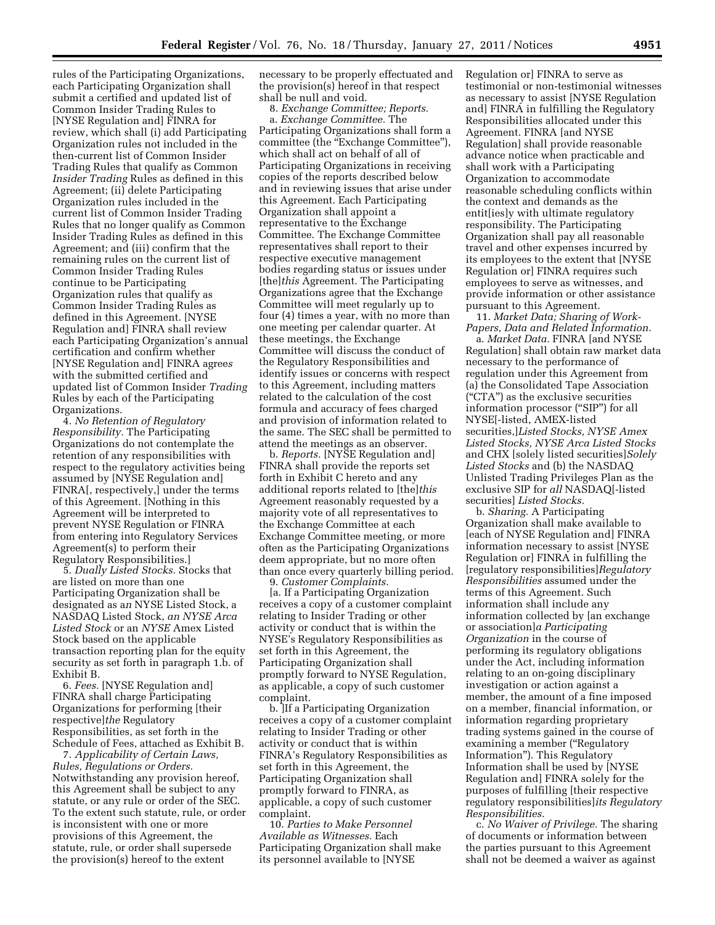rules of the Participating Organizations, each Participating Organization shall submit a certified and updated list of Common Insider Trading Rules to [NYSE Regulation and] FINRA for review, which shall (i) add Participating Organization rules not included in the then-current list of Common Insider Trading Rules that qualify as Common *Insider Trading* Rules as defined in this Agreement; (ii) delete Participating Organization rules included in the current list of Common Insider Trading Rules that no longer qualify as Common Insider Trading Rules as defined in this Agreement; and (iii) confirm that the remaining rules on the current list of Common Insider Trading Rules continue to be Participating Organization rules that qualify as Common Insider Trading Rules as defined in this Agreement. [NYSE Regulation and] FINRA shall review each Participating Organization's annual certification and confirm whether [NYSE Regulation and] FINRA agree*s*  with the submitted certified and updated list of Common Insider *Trading*  Rules by each of the Participating Organizations.

4. *No Retention of Regulatory Responsibility.* The Participating Organizations do not contemplate the retention of any responsibilities with respect to the regulatory activities being assumed by [NYSE Regulation and] FINRA[, respectively,] under the terms of this Agreement. [Nothing in this Agreement will be interpreted to prevent NYSE Regulation or FINRA from entering into Regulatory Services Agreement(s) to perform their Regulatory Responsibilities.]

5. *Dually Listed Stocks.* Stocks that are listed on more than one Participating Organization shall be designated as a*n* NYSE Listed Stock, a NASDAQ Listed Stock, *an NYSE Arca Listed Stock* or an *NYSE* Amex Listed Stock based on the applicable transaction reporting plan for the equity security as set forth in paragraph 1.b. of Exhibit B.

6. *Fees.* [NYSE Regulation and] FINRA shall charge Participating Organizations for performing [their respective]*the* Regulatory Responsibilities, as set forth in the Schedule of Fees, attached as Exhibit B.

7. *Applicability of Certain Laws, Rules, Regulations or Orders.*  Notwithstanding any provision hereof, this Agreement shall be subject to any statute, or any rule or order of the SEC. To the extent such statute, rule, or order is inconsistent with one or more provisions of this Agreement, the statute, rule, or order shall supersede the provision(s) hereof to the extent

necessary to be properly effectuated and the provision(s) hereof in that respect shall be null and void.

8. *Exchange Committee; Reports.*  a. *Exchange Committee.* The Participating Organizations shall form a committee (the "Exchange Committee"), which shall act on behalf of all of Participating Organizations in receiving copies of the reports described below and in reviewing issues that arise under this Agreement. Each Participating Organization shall appoint a representative to the Exchange Committee. The Exchange Committee representatives shall report to their respective executive management bodies regarding status or issues under [the]*this* Agreement. The Participating Organizations agree that the Exchange Committee will meet regularly up to four (4) times a year, with no more than one meeting per calendar quarter. At these meetings, the Exchange Committee will discuss the conduct of the Regulatory Responsibilities and identify issues or concerns with respect to this Agreement, including matters related to the calculation of the cost formula and accuracy of fees charged and provision of information related to the same. The SEC shall be permitted to attend the meetings as an observer.

b. *Reports.* [NYSE Regulation and] FINRA shall provide the reports set forth in Exhibit C hereto and any additional reports related to [the]*this*  Agreement reasonably requested by a majority vote of all representatives to the Exchange Committee at each Exchange Committee meeting, or more often as the Participating Organizations deem appropriate, but no more often than once every quarterly billing period.

9. *Customer Complaints.* 

[a. If a Participating Organization receives a copy of a customer complaint relating to Insider Trading or other activity or conduct that is within the NYSE's Regulatory Responsibilities as set forth in this Agreement, the Participating Organization shall promptly forward to NYSE Regulation, as applicable, a copy of such customer complaint.

b. ]If a Participating Organization receives a copy of a customer complaint relating to Insider Trading or other activity or conduct that is within FINRA's Regulatory Responsibilities as set forth in this Agreement, the Participating Organization shall promptly forward to FINRA, as applicable, a copy of such customer complaint.

10. *Parties to Make Personnel Available as Witnesses.* Each Participating Organization shall make its personnel available to [NYSE

Regulation or] FINRA to serve as testimonial or non-testimonial witnesses as necessary to assist [NYSE Regulation and] FINRA in fulfilling the Regulatory Responsibilities allocated under this Agreement. FINRA [and NYSE Regulation] shall provide reasonable advance notice when practicable and shall work with a Participating Organization to accommodate reasonable scheduling conflicts within the context and demands as the entit[ies]y with ultimate regulatory responsibility. The Participating Organization shall pay all reasonable travel and other expenses incurred by its employees to the extent that [NYSE Regulation or] FINRA require*s* such employees to serve as witnesses, and provide information or other assistance pursuant to this Agreement.

11. *Market Data; Sharing of Work-Papers, Data and Related Information.* 

a. *Market Data.* FINRA [and NYSE Regulation] shall obtain raw market data necessary to the performance of regulation under this Agreement from (a) the Consolidated Tape Association (''CTA'') as the exclusive securities information processor ("SIP") for all NYSE[-listed, AMEX-listed securities,]*Listed Stocks, NYSE Amex Listed Stocks, NYSE Arca Listed Stocks*  and CHX [solely listed securities]*Solely Listed Stocks* and (b) the NASDAQ Unlisted Trading Privileges Plan as the exclusive SIP for *all* NASDAQ[-listed securities] *Listed Stocks.* 

b. *Sharing.* A Participating Organization shall make available to [each of NYSE Regulation and] FINRA information necessary to assist [NYSE Regulation or] FINRA in fulfilling the [regulatory responsibilities]*Regulatory Responsibilities* assumed under the terms of this Agreement. Such information shall include any information collected by [an exchange or association]*a Participating Organization* in the course of performing its regulatory obligations under the Act, including information relating to an on-going disciplinary investigation or action against a member, the amount of a fine imposed on a member, financial information, or information regarding proprietary trading systems gained in the course of examining a member ("Regulatory Information''). This Regulatory Information shall be used by [NYSE Regulation and] FINRA solely for the purposes of fulfilling [their respective regulatory responsibilities]*its Regulatory Responsibilities.* 

c. *No Waiver of Privilege.* The sharing of documents or information between the parties pursuant to this Agreement shall not be deemed a waiver as against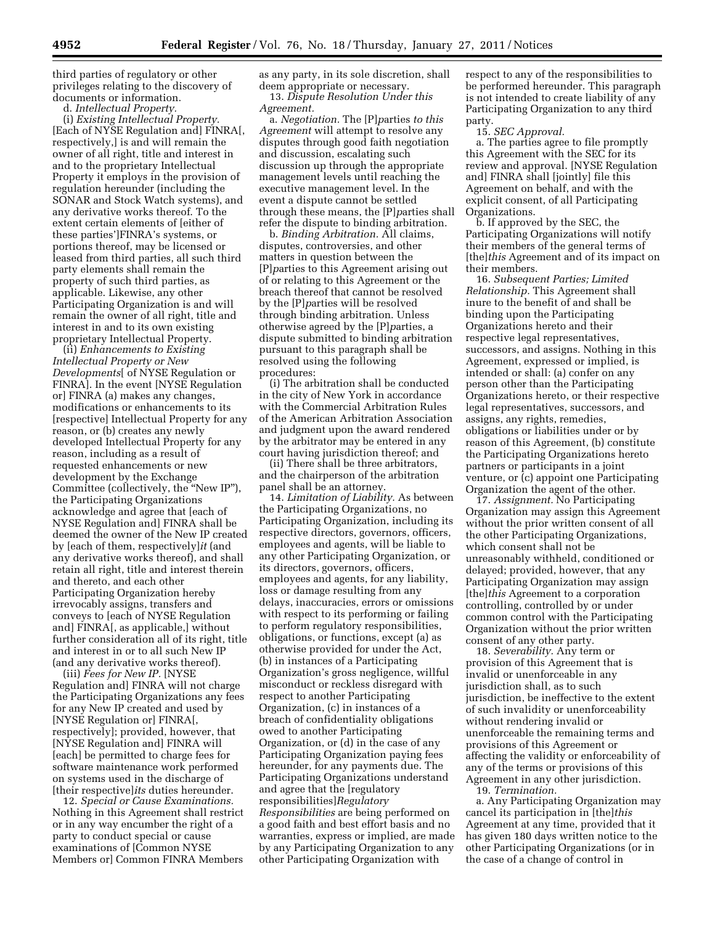third parties of regulatory or other privileges relating to the discovery of documents or information.

d. *Intellectual Property.* 

(i) *Existing Intellectual Property.*  [Each of NYSE Regulation and] FINRA[, respectively,] is and will remain the owner of all right, title and interest in and to the proprietary Intellectual Property it employs in the provision of regulation hereunder (including the SONAR and Stock Watch systems), and any derivative works thereof. To the extent certain elements of [either of these parties']FINRA's systems, or portions thereof, may be licensed or leased from third parties, all such third party elements shall remain the property of such third parties, as applicable. Likewise, any other Participating Organization is and will remain the owner of all right, title and interest in and to its own existing proprietary Intellectual Property.

(ii) *Enhancements to Existing Intellectual Property or New Developments*[ of NYSE Regulation or FINRA]. In the event [NYSE Regulation or] FINRA (a) makes any changes, modifications or enhancements to its [respective] Intellectual Property for any reason, or (b) creates any newly developed Intellectual Property for any reason, including as a result of requested enhancements or new development by the Exchange Committee (collectively, the "New IP"), the Participating Organizations acknowledge and agree that [each of NYSE Regulation and] FINRA shall be deemed the owner of the New IP created by [each of them, respectively]*it* (and any derivative works thereof), and shall retain all right, title and interest therein and thereto, and each other Participating Organization hereby irrevocably assigns, transfers and conveys to [each of NYSE Regulation and] FINRA[, as applicable,] without further consideration all of its right, title and interest in or to all such New IP (and any derivative works thereof).

(iii) *Fees for New IP.* [NYSE Regulation and] FINRA will not charge the Participating Organizations any fees for any New IP created and used by [NYSE Regulation or] FINRA[, respectively]; provided, however, that [NYSE Regulation and] FINRA will [each] be permitted to charge fees for software maintenance work performed on systems used in the discharge of [their respective]*its* duties hereunder.

12. *Special or Cause Examinations.*  Nothing in this Agreement shall restrict or in any way encumber the right of a party to conduct special or cause examinations of [Common NYSE Members or] Common FINRA Members

as any party, in its sole discretion, shall deem appropriate or necessary. 13. *Dispute Resolution Under this* 

*Agreement.* 

a. *Negotiation.* The [P]*p*arties *to this Agreement* will attempt to resolve any disputes through good faith negotiation and discussion, escalating such discussion up through the appropriate management levels until reaching the executive management level. In the event a dispute cannot be settled through these means, the [P]*p*arties shall refer the dispute to binding arbitration.

b. *Binding Arbitration.* All claims, disputes, controversies, and other matters in question between the [P]*p*arties to this Agreement arising out of or relating to this Agreement or the breach thereof that cannot be resolved by the [P]*p*arties will be resolved through binding arbitration. Unless otherwise agreed by the [P]*p*arties, a dispute submitted to binding arbitration pursuant to this paragraph shall be resolved using the following procedures:

(i) The arbitration shall be conducted in the city of New York in accordance with the Commercial Arbitration Rules of the American Arbitration Association and judgment upon the award rendered by the arbitrator may be entered in any court having jurisdiction thereof; and

(ii) There shall be three arbitrators, and the chairperson of the arbitration panel shall be an attorney.

14. *Limitation of Liability.* As between the Participating Organizations, no Participating Organization, including its respective directors, governors, officers, employees and agents, will be liable to any other Participating Organization, or its directors, governors, officers, employees and agents, for any liability, loss or damage resulting from any delays, inaccuracies, errors or omissions with respect to its performing or failing to perform regulatory responsibilities, obligations, or functions, except (a) as otherwise provided for under the Act, (b) in instances of a Participating Organization's gross negligence, willful misconduct or reckless disregard with respect to another Participating Organization, (c) in instances of a breach of confidentiality obligations owed to another Participating Organization, or (d) in the case of any Participating Organization paying fees hereunder, for any payments due. The Participating Organizations understand and agree that the [regulatory responsibilities]*Regulatory Responsibilities* are being performed on a good faith and best effort basis and no warranties, express or implied, are made by any Participating Organization to any other Participating Organization with

respect to any of the responsibilities to be performed hereunder. This paragraph is not intended to create liability of any Participating Organization to any third party.

15. *SEC Approval.* 

a. The parties agree to file promptly this Agreement with the SEC for its review and approval. [NYSE Regulation and] FINRA shall [jointly] file this Agreement on behalf, and with the explicit consent, of all Participating Organizations.

b. If approved by the SEC, the Participating Organizations will notify their members of the general terms of [the]*this* Agreement and of its impact on their members.

16. *Subsequent Parties; Limited Relationship.* This Agreement shall inure to the benefit of and shall be binding upon the Participating Organizations hereto and their respective legal representatives, successors, and assigns. Nothing in this Agreement, expressed or implied, is intended or shall: (a) confer on any person other than the Participating Organizations hereto, or their respective legal representatives, successors, and assigns, any rights, remedies, obligations or liabilities under or by reason of this Agreement, (b) constitute the Participating Organizations hereto partners or participants in a joint venture, or (c) appoint one Participating Organization the agent of the other.

17. *Assignment.* No Participating Organization may assign this Agreement without the prior written consent of all the other Participating Organizations, which consent shall not be unreasonably withheld, conditioned or delayed; provided, however, that any Participating Organization may assign [the]*this* Agreement to a corporation controlling, controlled by or under common control with the Participating Organization without the prior written consent of any other party.

18. *Severability.* Any term or provision of this Agreement that is invalid or unenforceable in any jurisdiction shall, as to such jurisdiction, be ineffective to the extent of such invalidity or unenforceability without rendering invalid or unenforceable the remaining terms and provisions of this Agreement or affecting the validity or enforceability of any of the terms or provisions of this Agreement in any other jurisdiction.

19. *Termination.* 

a. Any Participating Organization may cancel its participation in [the]*this*  Agreement at any time, provided that it has given 180 days written notice to the other Participating Organizations (or in the case of a change of control in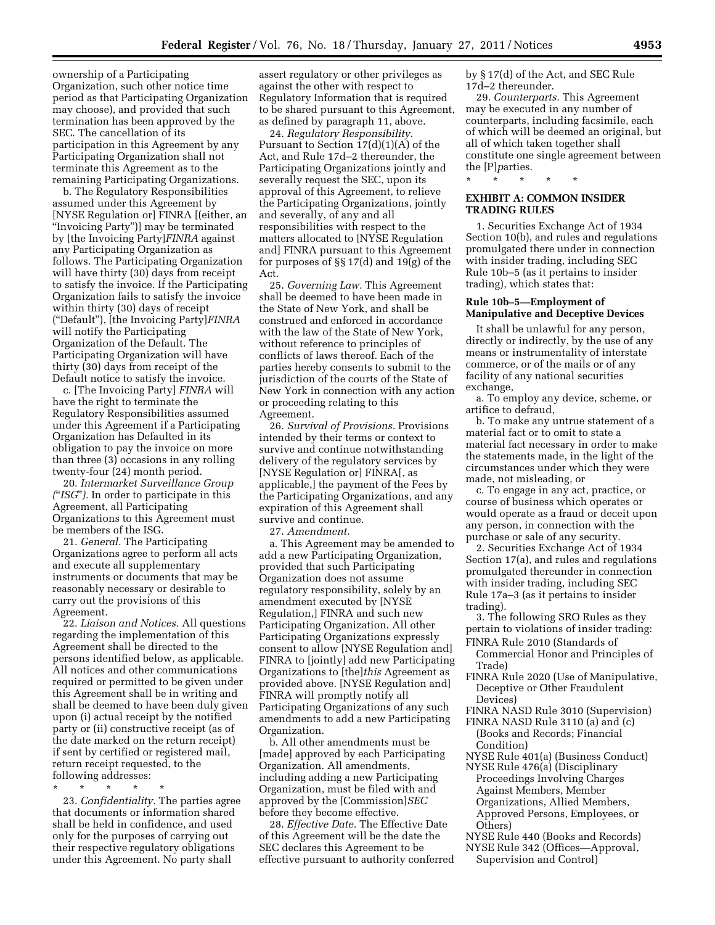ownership of a Participating Organization, such other notice time period as that Participating Organization may choose), and provided that such termination has been approved by the SEC. The cancellation of its participation in this Agreement by any Participating Organization shall not terminate this Agreement as to the remaining Participating Organizations.

b. The Regulatory Responsibilities assumed under this Agreement by [NYSE Regulation or] FINRA [(either, an ''Invoicing Party'')] may be terminated by [the Invoicing Party]*FINRA* against any Participating Organization as follows. The Participating Organization will have thirty (30) days from receipt to satisfy the invoice. If the Participating Organization fails to satisfy the invoice within thirty (30) days of receipt (''Default''), [the Invoicing Party]*FINRA*  will notify the Participating Organization of the Default. The Participating Organization will have thirty (30) days from receipt of the Default notice to satisfy the invoice.

c. [The Invoicing Party] *FINRA* will have the right to terminate the Regulatory Responsibilities assumed under this Agreement if a Participating Organization has Defaulted in its obligation to pay the invoice on more than three (3) occasions in any rolling twenty-four (24) month period.

20. *Intermarket Surveillance Group (*''*ISG*''*).* In order to participate in this Agreement, all Participating Organizations to this Agreement must be members of the ISG.

21. *General.* The Participating Organizations agree to perform all acts and execute all supplementary instruments or documents that may be reasonably necessary or desirable to carry out the provisions of this Agreement.

22. *Liaison and Notices.* All questions regarding the implementation of this Agreement shall be directed to the persons identified below, as applicable. All notices and other communications required or permitted to be given under this Agreement shall be in writing and shall be deemed to have been duly given upon (i) actual receipt by the notified party or (ii) constructive receipt (as of the date marked on the return receipt) if sent by certified or registered mail, return receipt requested, to the following addresses:

\* \* \* \* \*

23. *Confidentiality.* The parties agree that documents or information shared shall be held in confidence, and used only for the purposes of carrying out their respective regulatory obligations under this Agreement. No party shall

assert regulatory or other privileges as against the other with respect to Regulatory Information that is required to be shared pursuant to this Agreement, as defined by paragraph 11, above.

24. *Regulatory Responsibility.*  Pursuant to Section 17(d)(1)(A) of the Act, and Rule 17d–2 thereunder, the Participating Organizations jointly and severally request the SEC, upon its approval of this Agreement, to relieve the Participating Organizations, jointly and severally, of any and all responsibilities with respect to the matters allocated to [NYSE Regulation and] FINRA pursuant to this Agreement for purposes of §§ 17(d) and 19(g) of the Act.

25. *Governing Law.* This Agreement shall be deemed to have been made in the State of New York, and shall be construed and enforced in accordance with the law of the State of New York, without reference to principles of conflicts of laws thereof. Each of the parties hereby consents to submit to the jurisdiction of the courts of the State of New York in connection with any action or proceeding relating to this Agreement.

26. *Survival of Provisions.* Provisions intended by their terms or context to survive and continue notwithstanding delivery of the regulatory services by [NYSE Regulation or] FINRA[, as applicable,] the payment of the Fees by the Participating Organizations, and any expiration of this Agreement shall survive and continue.

27. *Amendment.* 

a. This Agreement may be amended to add a new Participating Organization, provided that such Participating Organization does not assume regulatory responsibility, solely by an amendment executed by [NYSE Regulation,] FINRA and such new Participating Organization. All other Participating Organizations expressly consent to allow [NYSE Regulation and] FINRA to [jointly] add new Participating Organizations to [the]*this* Agreement as provided above. [NYSE Regulation and] FINRA will promptly notify all Participating Organizations of any such amendments to add a new Participating Organization.

b. All other amendments must be [made] approved by each Participating Organization. All amendments, including adding a new Participating Organization, must be filed with and approved by the [Commission]*SEC*  before they become effective.

28. *Effective Date.* The Effective Date of this Agreement will be the date the SEC declares this Agreement to be effective pursuant to authority conferred by § 17(d) of the Act, and SEC Rule 17d–2 thereunder.

29. *Counterparts.* This Agreement may be executed in any number of counterparts, including facsimile, each of which will be deemed an original, but all of which taken together shall constitute one single agreement between the [P]*p*arties.

\* \* \* \* \*

## **EXHIBIT A: COMMON INSIDER TRADING RULES**

1. Securities Exchange Act of 1934 Section 10(b), and rules and regulations promulgated there under in connection with insider trading, including SEC Rule 10b–5 (as it pertains to insider trading), which states that:

## **Rule 10b–5—Employment of Manipulative and Deceptive Devices**

It shall be unlawful for any person, directly or indirectly, by the use of any means or instrumentality of interstate commerce, or of the mails or of any facility of any national securities exchange,

a. To employ any device, scheme, or artifice to defraud,

b. To make any untrue statement of a material fact or to omit to state a material fact necessary in order to make the statements made, in the light of the circumstances under which they were made, not misleading, or

c. To engage in any act, practice, or course of business which operates or would operate as a fraud or deceit upon any person, in connection with the purchase or sale of any security.

2. Securities Exchange Act of 1934 Section 17(a), and rules and regulations promulgated thereunder in connection with insider trading, including SEC Rule 17a–3 (as it pertains to insider trading).

3. The following SRO Rules as they pertain to violations of insider trading: FINRA Rule 2010 (Standards of

- Commercial Honor and Principles of Trade)
- FINRA Rule 2020 (Use of Manipulative, Deceptive or Other Fraudulent Devices)
- FINRA NASD Rule 3010 (Supervision)
- FINRA NASD Rule 3110 (a) and (c) (Books and Records; Financial Condition)
- NYSE Rule 401(a) (Business Conduct)
- NYSE Rule 476(a) (Disciplinary Proceedings Involving Charges Against Members, Member
	- Organizations, Allied Members,
- Approved Persons, Employees, or Others)
- NYSE Rule 440 (Books and Records)
- NYSE Rule 342 (Offices—Approval, Supervision and Control)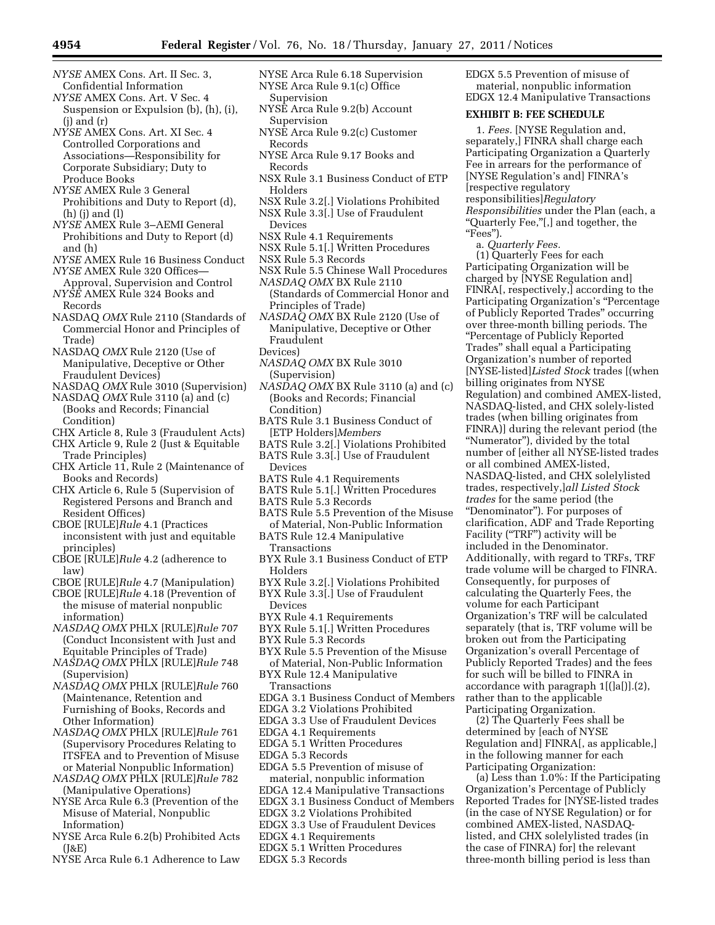- *NYSE* AMEX Cons. Art. II Sec. 3, Confidential Information
- *NYSE* AMEX Cons. Art. V Sec. 4 Suspension or Expulsion (b), (h), (i),  $(i)$  and  $(r)$
- *NYSE* AMEX Cons. Art. XI Sec. 4 Controlled Corporations and Associations—Responsibility for Corporate Subsidiary; Duty to Produce Books
- *NYSE* AMEX Rule 3 General Prohibitions and Duty to Report (d), (h) (j) and (l)
- *NYSE* AMEX Rule 3–AEMI General Prohibitions and Duty to Report (d) and (h)
- *NYSE* AMEX Rule 16 Business Conduct *NYSE* AMEX Rule 320 Offices—
- Approval, Supervision and Control *NYSE* AMEX Rule 324 Books and Records
- NASDAQ *OMX* Rule 2110 (Standards of Commercial Honor and Principles of Trade)
- NASDAQ *OMX* Rule 2120 (Use of Manipulative, Deceptive or Other Fraudulent Devices)
- NASDAQ *OMX* Rule 3010 (Supervision) NASDAQ *OMX* Rule 3110 (a) and (c)
- (Books and Records; Financial Condition) CHX Article 8, Rule 3 (Fraudulent Acts)
- CHX Article 9, Rule 2 (Just & Equitable
- Trade Principles)
- CHX Article 11, Rule 2 (Maintenance of Books and Records)
- CHX Article 6, Rule 5 (Supervision of Registered Persons and Branch and Resident Offices)
- CBOE [RULE]*Rule* 4.1 (Practices inconsistent with just and equitable principles)
- CBOE [RULE]*Rule* 4.2 (adherence to law)
- CBOE [RULE]*Rule* 4.7 (Manipulation)
- CBOE [RULE]*Rule* 4.18 (Prevention of the misuse of material nonpublic
- information) *NASDAQ OMX* PHLX [RULE]*Rule* 707
- (Conduct Inconsistent with Just and Equitable Principles of Trade)
- *NASDAQ OMX* PHLX [RULE]*Rule* 748 (Supervision)
- *NASDAQ OMX* PHLX [RULE]*Rule* 760 (Maintenance, Retention and Furnishing of Books, Records and Other Information)
- *NASDAQ OMX* PHLX [RULE]*Rule* 761 (Supervisory Procedures Relating to ITSFEA and to Prevention of Misuse or Material Nonpublic Information)
- *NASDAQ OMX* PHLX [RULE]*Rule* 782 (Manipulative Operations)
- NYSE Arca Rule 6.3 (Prevention of the Misuse of Material, Nonpublic Information)
- NYSE Arca Rule 6.2(b) Prohibited Acts (J&E)
- NYSE Arca Rule 6.1 Adherence to Law
- NYSE Arca Rule 6.18 Supervision NYSE Arca Rule 9.1(c) Office
- Supervision
- NYSE Arca Rule 9.2(b) Account Supervision
- NYSE Arca Rule 9.2(c) Customer Records
- NYSE Arca Rule 9.17 Books and Records
- NSX Rule 3.1 Business Conduct of ETP Holders
- NSX Rule 3.2[.] Violations Prohibited
- NSX Rule 3.3[.] Use of Fraudulent Devices
- NSX Rule 4.1 Requirements
- NSX Rule 5.1[.] Written Procedures
- NSX Rule 5.3 Records
- NSX Rule 5.5 Chinese Wall Procedures
- *NASDAQ OMX* BX Rule 2110 (Standards of Commercial Honor and Principles of Trade)
- *NASDAQ OMX* BX Rule 2120 (Use of Manipulative, Deceptive or Other Fraudulent
- Devices)
- *NASDAQ OMX* BX Rule 3010 (Supervision)
- *NASDAQ OMX* BX Rule 3110 (a) and (c) (Books and Records; Financial Condition)
- BATS Rule 3.1 Business Conduct of [ETP Holders]*Members*
- BATS Rule 3.2[.] Violations Prohibited
- BATS Rule 3.3[.] Use of Fraudulent
- Devices
- BATS Rule 4.1 Requirements
- BATS Rule 5.1[.] Written Procedures
- BATS Rule 5.3 Records
- BATS Rule 5.5 Prevention of the Misuse of Material, Non-Public Information
- BATS Rule 12.4 Manipulative Transactions
- BYX Rule 3.1 Business Conduct of ETP Holders
- BYX Rule 3.2[.] Violations Prohibited
- BYX Rule 3.3[.] Use of Fraudulent Devices
- BYX Rule 4.1 Requirements
- BYX Rule 5.1[.] Written Procedures
- BYX Rule 5.3 Records
- BYX Rule 5.5 Prevention of the Misuse of Material, Non-Public Information
- BYX Rule 12.4 Manipulative Transactions
- EDGA 3.1 Business Conduct of Members
- EDGA 3.2 Violations Prohibited
- EDGA 3.3 Use of Fraudulent Devices
- EDGA 4.1 Requirements
- EDGA 5.1 Written Procedures
- EDGA 5.3 Records
- EDGA 5.5 Prevention of misuse of
- material, nonpublic information
- EDGA 12.4 Manipulative Transactions
- EDGX 3.1 Business Conduct of Members
- EDGX 3.2 Violations Prohibited
- EDGX 3.3 Use of Fraudulent Devices
- EDGX 4.1 Requirements
- EDGX 5.1 Written Procedures
- EDGX 5.3 Records

EDGX 5.5 Prevention of misuse of material, nonpublic information EDGX 12.4 Manipulative Transactions

# **EXHIBIT B: FEE SCHEDULE**

1. *Fees.* [NYSE Regulation and, separately,] FINRA shall charge each Participating Organization a Quarterly Fee in arrears for the performance of [NYSE Regulation's and] FINRA's [respective regulatory responsibilities]*Regulatory Responsibilities* under the Plan (each, a ''Quarterly Fee,''[,] and together, the ''Fees'').

a. *Quarterly Fees.* 

(1) Quarterly Fees for each Participating Organization will be charged by [NYSE Regulation and] FINRA[, respectively,] according to the Participating Organization's ''Percentage of Publicly Reported Trades'' occurring over three-month billing periods. The ''Percentage of Publicly Reported Trades'' shall equal a Participating Organization's number of reported [NYSE-listed]*Listed Stock* trades [(when billing originates from NYSE Regulation) and combined AMEX-listed, NASDAQ-listed, and CHX solely-listed trades (when billing originates from FINRA)] during the relevant period (the ''Numerator''), divided by the total number of [either all NYSE-listed trades or all combined AMEX-listed, NASDAQ-listed, and CHX solelylisted trades, respectively,]*all Listed Stock trades* for the same period (the ''Denominator''). For purposes of clarification, ADF and Trade Reporting Facility ("TRF") activity will be included in the Denominator. Additionally, with regard to TRFs, TRF trade volume will be charged to FINRA. Consequently, for purposes of calculating the Quarterly Fees, the volume for each Participant Organization's TRF will be calculated separately (that is, TRF volume will be broken out from the Participating Organization's overall Percentage of Publicly Reported Trades) and the fees for such will be billed to FINRA in accordance with paragraph 1[(]a[)]*.*(2), rather than to the applicable Participating Organization.

(2) The Quarterly Fees shall be determined by [each of NYSE Regulation and] FINRA[, as applicable,] in the following manner for each Participating Organization:

(a) Less than 1.0%: If the Participating Organization's Percentage of Publicly Reported Trades for [NYSE-listed trades (in the case of NYSE Regulation) or for combined AMEX-listed, NASDAQlisted, and CHX solelylisted trades (in the case of FINRA) for] the relevant three-month billing period is less than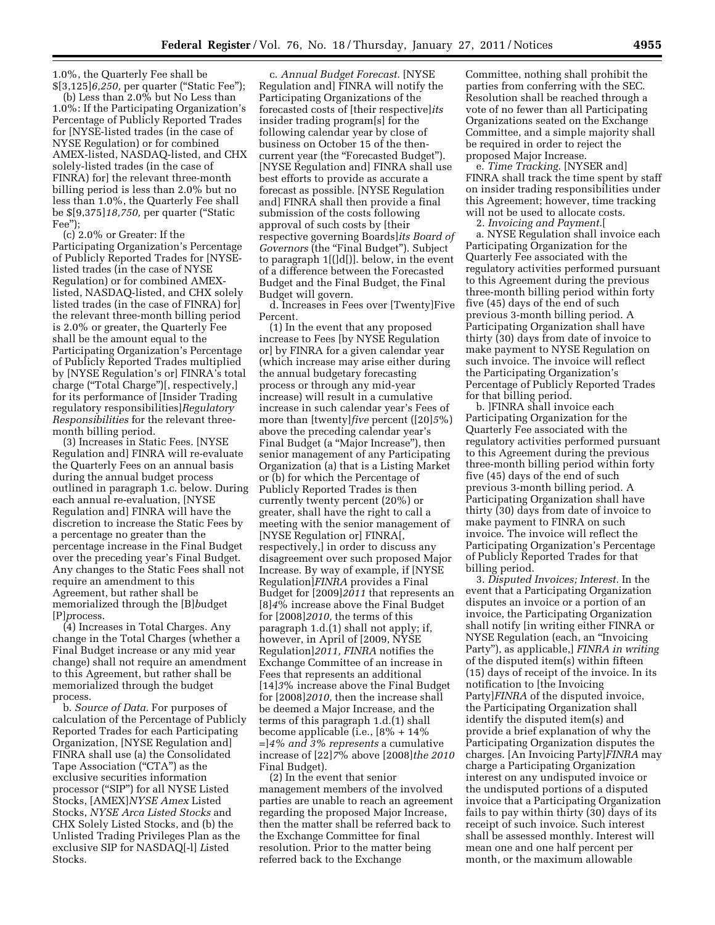1.0%, the Quarterly Fee shall be \$[3,125]*6,250,* per quarter (''Static Fee'');

(b) Less than 2.0% but No Less than 1.0%: If the Participating Organization's Percentage of Publicly Reported Trades for [NYSE-listed trades (in the case of NYSE Regulation) or for combined AMEX-listed, NASDAQ-listed, and CHX solely-listed trades (in the case of FINRA) for] the relevant three-month billing period is less than 2.0% but no less than 1.0%, the Quarterly Fee shall be \$[9,375]*18,750,* per quarter (''Static Fee'');

(c) 2.0% or Greater: If the Participating Organization's Percentage of Publicly Reported Trades for [NYSElisted trades (in the case of NYSE Regulation) or for combined AMEXlisted, NASDAQ-listed, and CHX solely listed trades (in the case of FINRA) for] the relevant three-month billing period is 2.0% or greater, the Quarterly Fee shall be the amount equal to the Participating Organization's Percentage of Publicly Reported Trades multiplied by [NYSE Regulation's or] FINRA's total charge (''Total Charge'')[, respectively,] for its performance of [Insider Trading regulatory responsibilities]*Regulatory Responsibilities* for the relevant threemonth billing period.

(3) Increases in Static Fees. [NYSE Regulation and] FINRA will re-evaluate the Quarterly Fees on an annual basis during the annual budget process outlined in paragraph 1.c. below. During each annual re-evaluation, [NYSE Regulation and] FINRA will have the discretion to increase the Static Fees by a percentage no greater than the percentage increase in the Final Budget over the preceding year's Final Budget. Any changes to the Static Fees shall not require an amendment to this Agreement, but rather shall be memorialized through the [B]*b*udget [P]*p*rocess.

(4) Increases in Total Charges. Any change in the Total Charges (whether a Final Budget increase or any mid year change) shall not require an amendment to this Agreement, but rather shall be memorialized through the budget process.

b. *Source of Data.* For purposes of calculation of the Percentage of Publicly Reported Trades for each Participating Organization, [NYSE Regulation and] FINRA shall use (a) the Consolidated Tape Association ("CTA") as the exclusive securities information processor (''SIP'') for all NYSE Listed Stocks, [AMEX]*NYSE Amex* Listed Stocks, *NYSE Arca Listed Stocks* and CHX Solely Listed Stocks, and (b) the Unlisted Trading Privileges Plan as the exclusive SIP for NASDAQ[-l] *L*isted Stocks.

c. *Annual Budget Forecast.* [NYSE Regulation and] FINRA will notify the Participating Organizations of the forecasted costs of [their respective]*its*  insider trading program[s] for the following calendar year by close of business on October 15 of the thencurrent year (the ''Forecasted Budget''). [NYSE Regulation and] FINRA shall use best efforts to provide as accurate a forecast as possible. [NYSE Regulation and] FINRA shall then provide a final submission of the costs following approval of such costs by [their respective governing Boards]*its Board of*  Governors (the "Final Budget"). Subject to paragraph 1[(]d[)]. below, in the event of a difference between the Forecasted Budget and the Final Budget, the Final Budget will govern.

d. Increases in Fees over [Twenty]Five Percent*.* 

(1) In the event that any proposed increase to Fees [by NYSE Regulation or] by FINRA for a given calendar year (which increase may arise either during the annual budgetary forecasting process or through any mid-year increase) will result in a cumulative increase in such calendar year's Fees of more than [twenty]*five* percent ([20]*5*%) above the preceding calendar year's Final Budget (a ''Major Increase''), then senior management of any Participating Organization (a) that is a Listing Market or (b) for which the Percentage of Publicly Reported Trades is then currently twenty percent (20%) or greater, shall have the right to call a meeting with the senior management of [NYSE Regulation or] FINRA[, respectively,] in order to discuss any disagreement over such proposed Major Increase. By way of example, if [NYSE Regulation]*FINRA* provides a Final Budget for [2009]*2011* that represents an [8]*4*% increase above the Final Budget for [2008]*2010,* the terms of this paragraph 1.d.(1) shall not apply; if, however, in April of [2009, NYSE Regulation]*2011, FINRA* notifies the Exchange Committee of an increase in Fees that represents an additional [14]*3*% increase above the Final Budget for [2008]*2010,* then the increase shall be deemed a Major Increase, and the terms of this paragraph 1.d.(1) shall become applicable (i.e., [8% + 14% =]*4% and 3% represents* a cumulative increase of [22]*7*% above [2008]*the 2010*  Final Budget).

(2) In the event that senior management members of the involved parties are unable to reach an agreement regarding the proposed Major Increase, then the matter shall be referred back to the Exchange Committee for final resolution. Prior to the matter being referred back to the Exchange

Committee, nothing shall prohibit the parties from conferring with the SEC. Resolution shall be reached through a vote of no fewer than all Participating Organizations seated on the Exchange Committee, and a simple majority shall be required in order to reject the proposed Major Increase.

e. *Time Tracking.* [NYSER and] FINRA shall track the time spent by staff on insider trading responsibilities under this Agreement; however, time tracking will not be used to allocate costs.

2. *Invoicing and Payment.*[

a. NYSE Regulation shall invoice each Participating Organization for the Quarterly Fee associated with the regulatory activities performed pursuant to this Agreement during the previous three-month billing period within forty five (45) days of the end of such previous 3-month billing period. A Participating Organization shall have thirty (30) days from date of invoice to make payment to NYSE Regulation on such invoice. The invoice will reflect the Participating Organization's Percentage of Publicly Reported Trades for that billing period.

b. ]FINRA shall invoice each Participating Organization for the Quarterly Fee associated with the regulatory activities performed pursuant to this Agreement during the previous three-month billing period within forty five (45) days of the end of such previous 3-month billing period. A Participating Organization shall have thirty (30) days from date of invoice to make payment to FINRA on such invoice. The invoice will reflect the Participating Organization's Percentage of Publicly Reported Trades for that billing period.

3. *Disputed Invoices; Interest.* In the event that a Participating Organization disputes an invoice or a portion of an invoice, the Participating Organization shall notify [in writing either FINRA or NYSE Regulation (each, an ''Invoicing Party''), as applicable,] *FINRA in writing*  of the disputed item(s) within fifteen (15) days of receipt of the invoice. In its notification to [the Invoicing Party]*FINRA* of the disputed invoice, the Participating Organization shall identify the disputed item(s) and provide a brief explanation of why the Participating Organization disputes the charges. [An Invoicing Party]*FINRA* may charge a Participating Organization interest on any undisputed invoice or the undisputed portions of a disputed invoice that a Participating Organization fails to pay within thirty (30) days of its receipt of such invoice. Such interest shall be assessed monthly. Interest will mean one and one half percent per month, or the maximum allowable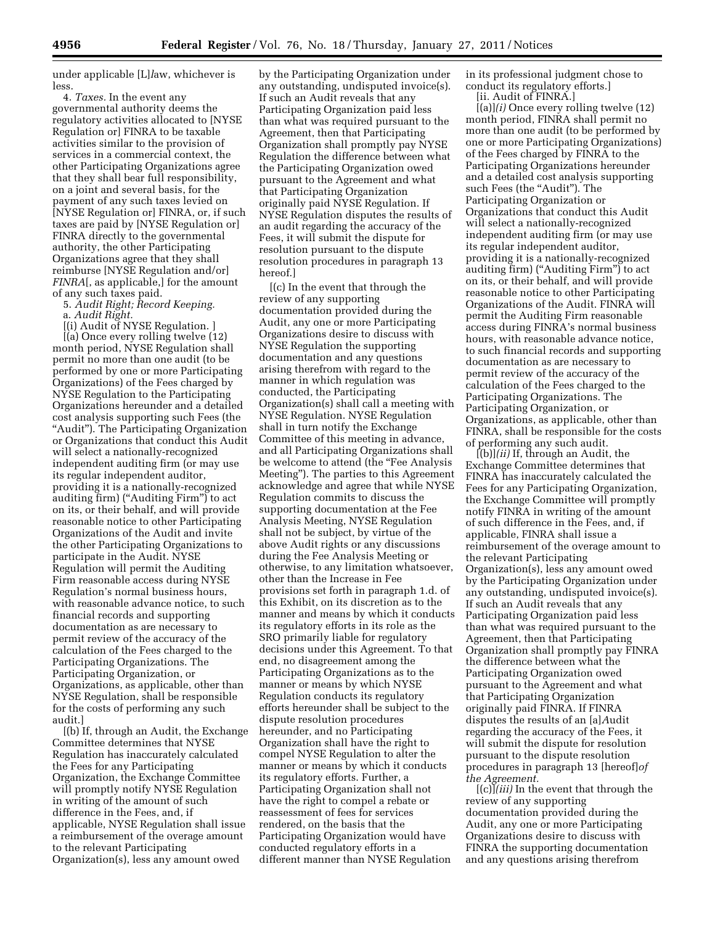under applicable [L]*l*aw, whichever is less.

4. *Taxes.* In the event any governmental authority deems the regulatory activities allocated to [NYSE Regulation or] FINRA to be taxable activities similar to the provision of services in a commercial context, the other Participating Organizations agree that they shall bear full responsibility, on a joint and several basis, for the payment of any such taxes levied on [NYSE Regulation or] FINRA, or, if such taxes are paid by [NYSE Regulation or] FINRA directly to the governmental authority, the other Participating Organizations agree that they shall reimburse [NYSE Regulation and/or] *FINRA*[, as applicable,] for the amount of any such taxes paid.

5. *Audit Right; Record Keeping.* 

a. *Audit Right.* 

[(i) Audit of NYSE Regulation. ] [(a) Once every rolling twelve (12) month period, NYSE Regulation shall permit no more than one audit (to be performed by one or more Participating Organizations) of the Fees charged by NYSE Regulation to the Participating Organizations hereunder and a detailed cost analysis supporting such Fees (the "Audit"). The Participating Organization or Organizations that conduct this Audit will select a nationally-recognized independent auditing firm (or may use its regular independent auditor, providing it is a nationally-recognized auditing firm) ("Auditing Firm") to act on its, or their behalf, and will provide reasonable notice to other Participating Organizations of the Audit and invite the other Participating Organizations to participate in the Audit. NYSE Regulation will permit the Auditing Firm reasonable access during NYSE Regulation's normal business hours, with reasonable advance notice, to such financial records and supporting documentation as are necessary to permit review of the accuracy of the calculation of the Fees charged to the Participating Organizations. The Participating Organization, or Organizations, as applicable, other than NYSE Regulation, shall be responsible for the costs of performing any such audit.]

[(b) If, through an Audit, the Exchange Committee determines that NYSE Regulation has inaccurately calculated the Fees for any Participating Organization, the Exchange Committee will promptly notify NYSE Regulation in writing of the amount of such difference in the Fees, and, if applicable, NYSE Regulation shall issue a reimbursement of the overage amount to the relevant Participating Organization(s), less any amount owed

by the Participating Organization under any outstanding, undisputed invoice(s). If such an Audit reveals that any Participating Organization paid less than what was required pursuant to the Agreement, then that Participating Organization shall promptly pay NYSE Regulation the difference between what the Participating Organization owed pursuant to the Agreement and what that Participating Organization originally paid NYSE Regulation. If NYSE Regulation disputes the results of an audit regarding the accuracy of the Fees, it will submit the dispute for resolution pursuant to the dispute resolution procedures in paragraph 13 hereof.]

[(c) In the event that through the review of any supporting documentation provided during the Audit, any one or more Participating Organizations desire to discuss with NYSE Regulation the supporting documentation and any questions arising therefrom with regard to the manner in which regulation was conducted, the Participating Organization(s) shall call a meeting with NYSE Regulation. NYSE Regulation shall in turn notify the Exchange Committee of this meeting in advance, and all Participating Organizations shall be welcome to attend (the "Fee Analysis Meeting''). The parties to this Agreement acknowledge and agree that while NYSE Regulation commits to discuss the supporting documentation at the Fee Analysis Meeting, NYSE Regulation shall not be subject, by virtue of the above Audit rights or any discussions during the Fee Analysis Meeting or otherwise, to any limitation whatsoever, other than the Increase in Fee provisions set forth in paragraph 1.d. of this Exhibit, on its discretion as to the manner and means by which it conducts its regulatory efforts in its role as the SRO primarily liable for regulatory decisions under this Agreement. To that end, no disagreement among the Participating Organizations as to the manner or means by which NYSE Regulation conducts its regulatory efforts hereunder shall be subject to the dispute resolution procedures hereunder, and no Participating Organization shall have the right to compel NYSE Regulation to alter the manner or means by which it conducts its regulatory efforts. Further, a Participating Organization shall not have the right to compel a rebate or reassessment of fees for services rendered, on the basis that the Participating Organization would have conducted regulatory efforts in a different manner than NYSE Regulation

in its professional judgment chose to conduct its regulatory efforts.]

[ii. Audit of FINRA.]

[(a)]*(i)* Once every rolling twelve (12) month period, FINRA shall permit no more than one audit (to be performed by one or more Participating Organizations) of the Fees charged by FINRA to the Participating Organizations hereunder and a detailed cost analysis supporting such Fees (the "Audit"). The Participating Organization or Organizations that conduct this Audit will select a nationally-recognized independent auditing firm (or may use its regular independent auditor, providing it is a nationally-recognized auditing firm) ("Auditing Firm") to act on its, or their behalf, and will provide reasonable notice to other Participating Organizations of the Audit. FINRA will permit the Auditing Firm reasonable access during FINRA's normal business hours, with reasonable advance notice, to such financial records and supporting documentation as are necessary to permit review of the accuracy of the calculation of the Fees charged to the Participating Organizations. The Participating Organization, or Organizations, as applicable, other than FINRA, shall be responsible for the costs of performing any such audit.

[(b)]*(ii)* If, through an Audit, the Exchange Committee determines that FINRA has inaccurately calculated the Fees for any Participating Organization, the Exchange Committee will promptly notify FINRA in writing of the amount of such difference in the Fees, and, if applicable, FINRA shall issue a reimbursement of the overage amount to the relevant Participating Organization(s), less any amount owed by the Participating Organization under any outstanding, undisputed invoice(s). If such an Audit reveals that any Participating Organization paid less than what was required pursuant to the Agreement, then that Participating Organization shall promptly pay FINRA the difference between what the Participating Organization owed pursuant to the Agreement and what that Participating Organization originally paid FINRA. If FINRA disputes the results of an [a]*A*udit regarding the accuracy of the Fees, it will submit the dispute for resolution pursuant to the dispute resolution procedures in paragraph 13 [hereof]*of the Agreement.* 

[(c)]*(iii)* In the event that through the review of any supporting documentation provided during the Audit, any one or more Participating Organizations desire to discuss with FINRA the supporting documentation and any questions arising therefrom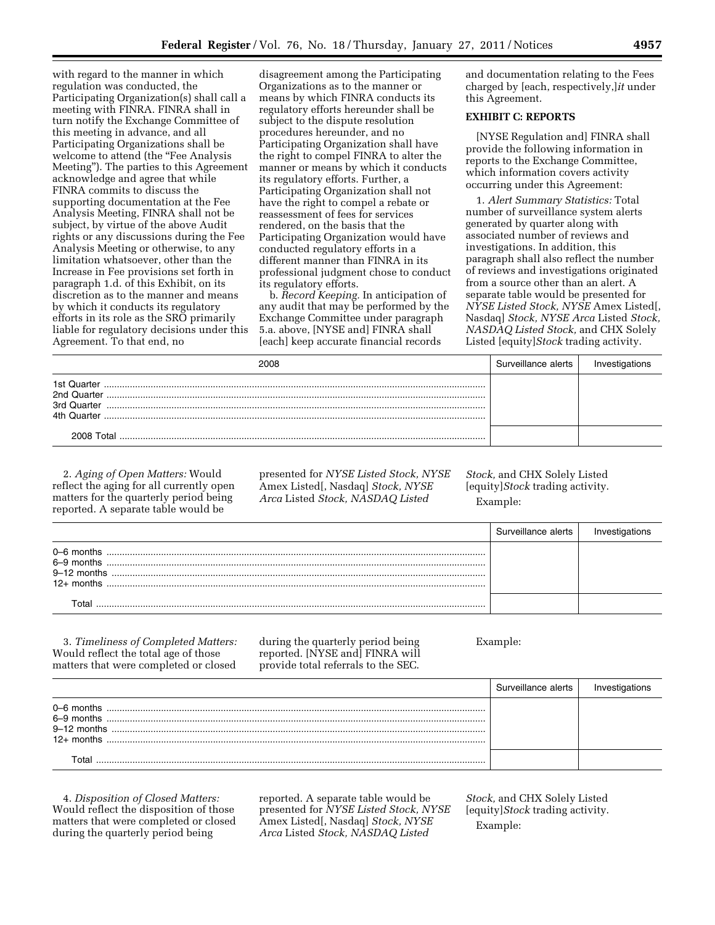with regard to the manner in which regulation was conducted, the Participating Organization(s) shall call a meeting with FINRA. FINRA shall in turn notify the Exchange Committee of this meeting in advance, and all Participating Organizations shall be welcome to attend (the "Fee Analysis Meeting''). The parties to this Agreement acknowledge and agree that while FINRA commits to discuss the supporting documentation at the Fee Analysis Meeting, FINRA shall not be subject, by virtue of the above Audit rights or any discussions during the Fee Analysis Meeting or otherwise, to any limitation whatsoever, other than the Increase in Fee provisions set forth in paragraph 1.d. of this Exhibit, on its discretion as to the manner and means by which it conducts its regulatory efforts in its role as the SRO primarily liable for regulatory decisions under this Agreement. To that end, no

disagreement among the Participating Organizations as to the manner or means by which FINRA conducts its regulatory efforts hereunder shall be subject to the dispute resolution procedures hereunder, and no Participating Organization shall have the right to compel FINRA to alter the manner or means by which it conducts its regulatory efforts. Further, a Participating Organization shall not have the right to compel a rebate or reassessment of fees for services rendered, on the basis that the Participating Organization would have conducted regulatory efforts in a different manner than FINRA in its professional judgment chose to conduct its regulatory efforts.

b. *Record Keeping.* In anticipation of any audit that may be performed by the Exchange Committee under paragraph 5.a. above, [NYSE and] FINRA shall [each] keep accurate financial records

and documentation relating to the Fees charged by [each, respectively,]*it* under this Agreement.

# **EXHIBIT C: REPORTS**

[NYSE Regulation and] FINRA shall provide the following information in reports to the Exchange Committee, which information covers activity occurring under this Agreement:

1. *Alert Summary Statistics:* Total number of surveillance system alerts generated by quarter along with associated number of reviews and investigations. In addition, this paragraph shall also reflect the number of reviews and investigations originated from a source other than an alert. A separate table would be presented for *NYSE Listed Stock, NYSE* Amex Listed[, Nasdaq] *Stock, NYSE Arca* Listed *Stock, NASDAQ Listed Stock,* and CHX Solely Listed [equity]*Stock* trading activity.

| 2008                                                     | Surveillance alerts |  |
|----------------------------------------------------------|---------------------|--|
| 1st Quarter<br>2nd Quarter<br>3rd Quarter<br>4th Quarter |                     |  |
| 2008 Total                                               |                     |  |

2. *Aging of Open Matters:* Would reflect the aging for all currently open matters for the quarterly period being reported. A separate table would be

presented for *NYSE Listed Stock, NYSE*  Amex Listed[, Nasdaq] *Stock, NYSE Arca* Listed *Stock, NASDAQ Listed* 

*Stock,* and CHX Solely Listed [equity]*Stock* trading activity. Example:

|                                                               | Surveillance alerts |  |
|---------------------------------------------------------------|---------------------|--|
| $0 - 6$ months<br>6-9 months<br>$9-12$ months<br>$12+$ months |                     |  |
|                                                               |                     |  |

3. *Timeliness of Completed Matters:*  Would reflect the total age of those matters that were completed or closed

during the quarterly period being reported. [NYSE and] FINRA will provide total referrals to the SEC.

Example:

|                                             | Surveillance alerts |  |
|---------------------------------------------|---------------------|--|
| 0–6 months<br>$9-12$ months<br>$12+$ months |                     |  |
|                                             |                     |  |

4. *Disposition of Closed Matters:*  Would reflect the disposition of those matters that were completed or closed during the quarterly period being

reported. A separate table would be presented for *NYSE Listed Stock, NYSE*  Amex Listed[, Nasdaq] *Stock, NYSE Arca* Listed *Stock, NASDAQ Listed* 

*Stock,* and CHX Solely Listed [equity]*Stock* trading activity. Example: